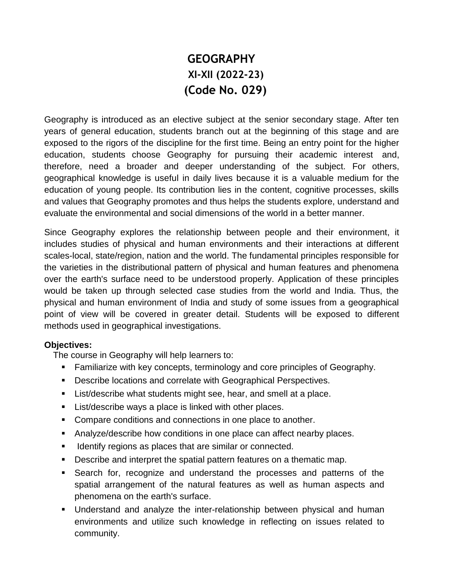# **GEOGRAPHY XI-XII (2022-23) (Code No. 029)**

Geography is introduced as an elective subject at the senior secondary stage. After ten years of general education, students branch out at the beginning of this stage and are exposed to the rigors of the discipline for the first time. Being an entry point for the higher education, students choose Geography for pursuing their academic interest and, therefore, need a broader and deeper understanding of the subject. For others, geographical knowledge is useful in daily lives because it is a valuable medium for the education of young people. Its contribution lies in the content, cognitive processes, skills and values that Geography promotes and thus helps the students explore, understand and evaluate the environmental and social dimensions of the world in a better manner.

Since Geography explores the relationship between people and their environment, it includes studies of physical and human environments and their interactions at different scales-local, state/region, nation and the world. The fundamental principles responsible for the varieties in the distributional pattern of physical and human features and phenomena over the earth's surface need to be understood properly. Application of these principles would be taken up through selected case studies from the world and India. Thus, the physical and human environment of India and study of some issues from a geographical point of view will be covered in greater detail. Students will be exposed to different methods used in geographical investigations.

#### **Objectives:**

The course in Geography will help learners to:

- **Familiarize with key concepts, terminology and core principles of Geography.**
- **Describe locations and correlate with Geographical Perspectives.**
- **List/describe what students might see, hear, and smell at a place.**
- **List/describe ways a place is linked with other places.**
- **Compare conditions and connections in one place to another.**
- Analyze/describe how conditions in one place can affect nearby places.
- **IDEDEPER** Identify regions as places that are similar or connected.
- Describe and interpret the spatial pattern features on a thematic map.
- Search for, recognize and understand the processes and patterns of the spatial arrangement of the natural features as well as human aspects and phenomena on the earth's surface.
- Understand and analyze the inter-relationship between physical and human environments and utilize such knowledge in reflecting on issues related to community.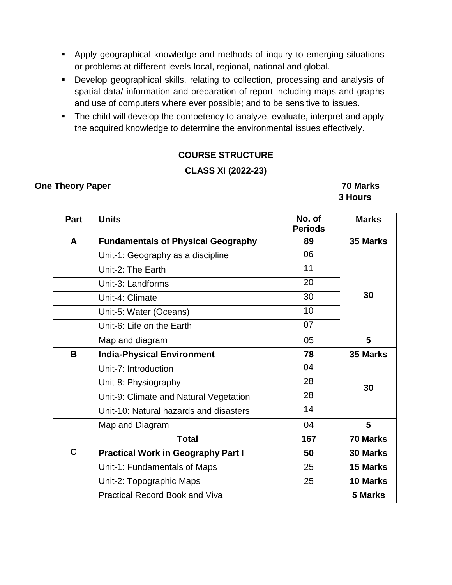- Apply geographical knowledge and methods of inquiry to emerging situations or problems at different levels-local, regional, national and global.
- Develop geographical skills, relating to collection, processing and analysis of spatial data/ information and preparation of report including maps and graphs and use of computers where ever possible; and to be sensitive to issues.
- The child will develop the competency to analyze, evaluate, interpret and apply the acquired knowledge to determine the environmental issues effectively.

### **COURSE STRUCTURE**

#### **CLASS XI (2022-23)**

#### **One Theory Paper 70 Marks**

 **3 Hours**

| Part | <b>Units</b>                              | No. of<br><b>Periods</b> | <b>Marks</b>    |
|------|-------------------------------------------|--------------------------|-----------------|
| A    | <b>Fundamentals of Physical Geography</b> | 89                       | 35 Marks        |
|      | Unit-1: Geography as a discipline         | 06                       |                 |
|      | Unit-2: The Earth                         | 11                       |                 |
|      | Unit-3: Landforms                         | 20                       |                 |
|      | Unit-4: Climate                           | 30                       | 30              |
|      | Unit-5: Water (Oceans)                    | 10                       |                 |
|      | Unit-6: Life on the Earth                 | 07                       |                 |
|      | 05<br>Map and diagram                     |                          | 5               |
| B    | <b>India-Physical Environment</b><br>78   |                          | 35 Marks        |
|      | Unit-7: Introduction                      | 04                       |                 |
|      | Unit-8: Physiography                      | 28                       | 30              |
|      | Unit-9: Climate and Natural Vegetation    | 28                       |                 |
|      | Unit-10: Natural hazards and disasters    | 14                       |                 |
|      | Map and Diagram                           | 04                       | 5               |
|      | <b>Total</b>                              | 167                      | 70 Marks        |
| C    | <b>Practical Work in Geography Part I</b> | 50                       | <b>30 Marks</b> |
|      | Unit-1: Fundamentals of Maps              | 25                       | 15 Marks        |
|      | Unit-2: Topographic Maps                  | 25                       | 10 Marks        |
|      | <b>Practical Record Book and Viva</b>     |                          | 5 Marks         |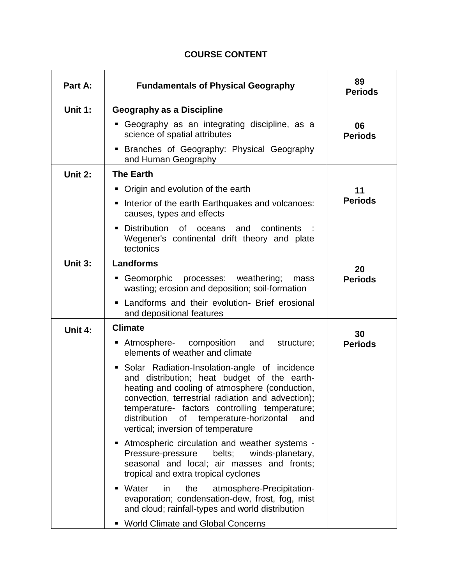# **COURSE CONTENT**

| Part A: | <b>Fundamentals of Physical Geography</b>                                                                                                                                                                                                                                                                                                              | 89<br><b>Periods</b> |
|---------|--------------------------------------------------------------------------------------------------------------------------------------------------------------------------------------------------------------------------------------------------------------------------------------------------------------------------------------------------------|----------------------|
| Unit 1: | <b>Geography as a Discipline</b>                                                                                                                                                                                                                                                                                                                       |                      |
|         | Geography as an integrating discipline, as a<br>science of spatial attributes                                                                                                                                                                                                                                                                          | 06<br><b>Periods</b> |
|         | Branches of Geography: Physical Geography<br>and Human Geography                                                                                                                                                                                                                                                                                       |                      |
| Unit 2: | <b>The Earth</b>                                                                                                                                                                                                                                                                                                                                       |                      |
|         | • Origin and evolution of the earth                                                                                                                                                                                                                                                                                                                    | 11                   |
|         | Interior of the earth Earthquakes and volcanoes:<br>causes, types and effects                                                                                                                                                                                                                                                                          | <b>Periods</b>       |
|         | Distribution of<br>oceans<br>and<br>continents<br>Wegener's continental drift theory and plate<br>tectonics                                                                                                                                                                                                                                            |                      |
| Unit 3: | <b>Landforms</b>                                                                                                                                                                                                                                                                                                                                       | 20                   |
|         | Geomorphic processes: weathering;<br>mass<br>wasting; erosion and deposition; soil-formation                                                                                                                                                                                                                                                           | <b>Periods</b>       |
|         | • Landforms and their evolution- Brief erosional<br>and depositional features                                                                                                                                                                                                                                                                          |                      |
| Unit 4: | <b>Climate</b>                                                                                                                                                                                                                                                                                                                                         | 30                   |
|         | Atmosphere- composition and<br>structure;<br>elements of weather and climate                                                                                                                                                                                                                                                                           | <b>Periods</b>       |
|         | Solar Radiation-Insolation-angle of incidence<br>ш<br>and distribution; heat budget of the earth-<br>heating and cooling of atmosphere (conduction,<br>convection, terrestrial radiation and advection);<br>temperature- factors controlling temperature;<br>distribution<br>temperature-horizontal<br>of<br>and<br>vertical; inversion of temperature |                      |
|         | Atmospheric circulation and weather systems -<br>Pressure-pressure<br>belts;<br>winds-planetary,<br>seasonal and local; air masses and fronts;<br>tropical and extra tropical cyclones                                                                                                                                                                 |                      |
|         | Water<br>atmosphere-Precipitation-<br>in<br>the<br>evaporation; condensation-dew, frost, fog, mist<br>and cloud; rainfall-types and world distribution                                                                                                                                                                                                 |                      |
|         | <b>World Climate and Global Concerns</b>                                                                                                                                                                                                                                                                                                               |                      |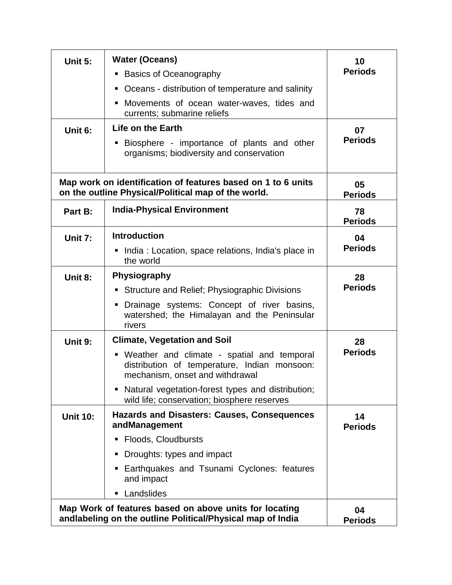| Unit 5:         | <b>Water (Oceans)</b><br><b>Basics of Oceanography</b><br>п                                                                     | 10<br><b>Periods</b> |
|-----------------|---------------------------------------------------------------------------------------------------------------------------------|----------------------|
|                 | Oceans - distribution of temperature and salinity<br>п                                                                          |                      |
|                 | Movements of ocean water-waves, tides and<br>п                                                                                  |                      |
|                 | currents; submarine reliefs                                                                                                     |                      |
| Unit 6:         | Life on the Earth                                                                                                               | 07                   |
|                 | Biosphere - importance of plants and other<br>ш<br>organisms; biodiversity and conservation                                     | <b>Periods</b>       |
|                 | Map work on identification of features based on 1 to 6 units<br>on the outline Physical/Political map of the world.             | 05<br><b>Periods</b> |
| Part B:         | <b>India-Physical Environment</b>                                                                                               | 78<br><b>Periods</b> |
| Unit 7:         | <b>Introduction</b>                                                                                                             | 04                   |
|                 | • India: Location, space relations, India's place in<br>the world                                                               | <b>Periods</b>       |
| Unit 8:         | Physiography                                                                                                                    | 28                   |
|                 | Structure and Relief; Physiographic Divisions<br>п                                                                              | <b>Periods</b>       |
|                 | Drainage systems: Concept of river basins,<br>watershed; the Himalayan and the Peninsular<br>rivers                             |                      |
| Unit 9:         | <b>Climate, Vegetation and Soil</b>                                                                                             | 28                   |
|                 | • Weather and climate - spatial and temporal<br>distribution of temperature, Indian monsoon:<br>mechanism, onset and withdrawal | <b>Periods</b>       |
|                 | • Natural vegetation-forest types and distribution;<br>wild life; conservation; biosphere reserves                              |                      |
| <b>Unit 10:</b> | Hazards and Disasters: Causes, Consequences<br>andManagement                                                                    | 14<br><b>Periods</b> |
|                 | Floods, Cloudbursts<br>п                                                                                                        |                      |
|                 | Droughts: types and impact                                                                                                      |                      |
|                 | Earthquakes and Tsunami Cyclones: features<br>and impact                                                                        |                      |
|                 | Landslides<br>ш                                                                                                                 |                      |
|                 | Map Work of features based on above units for locating<br>andlabeling on the outline Political/Physical map of India            | 04<br><b>Periods</b> |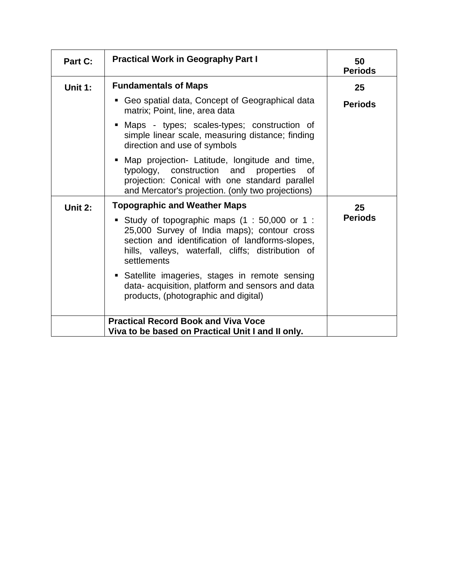| Part C: | <b>Practical Work in Geography Part I</b>                                                                                                                                                                           | 50<br><b>Periods</b> |
|---------|---------------------------------------------------------------------------------------------------------------------------------------------------------------------------------------------------------------------|----------------------|
| Unit 1: | <b>Fundamentals of Maps</b>                                                                                                                                                                                         | 25                   |
|         | Geo spatial data, Concept of Geographical data<br>matrix; Point, line, area data                                                                                                                                    | <b>Periods</b>       |
|         | Maps - types; scales-types; construction of<br>simple linear scale, measuring distance; finding<br>direction and use of symbols                                                                                     |                      |
|         | Map projection- Latitude, longitude and time,<br>typology, construction and properties of<br>projection: Conical with one standard parallel<br>and Mercator's projection. (only two projections)                    |                      |
| Unit 2: | <b>Topographic and Weather Maps</b>                                                                                                                                                                                 | 25                   |
|         | Study of topographic maps (1 : 50,000 or 1 :<br>25,000 Survey of India maps); contour cross<br>section and identification of landforms-slopes,<br>hills, valleys, waterfall, cliffs; distribution of<br>settlements | <b>Periods</b>       |
|         | Satellite imageries, stages in remote sensing<br>data- acquisition, platform and sensors and data<br>products, (photographic and digital)                                                                           |                      |
|         | <b>Practical Record Book and Viva Voce</b><br>Viva to be based on Practical Unit I and II only.                                                                                                                     |                      |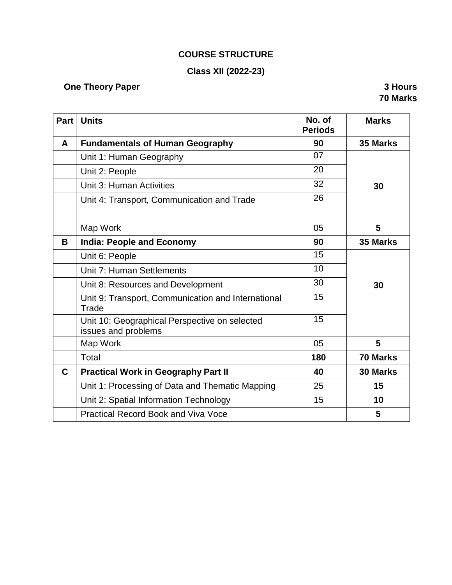# **COURSE STRUCTURE**

# **Class XII (2022-23)**

# **One Theory Paper 3 Hours**

**70 Marks**

| Part | <b>Units</b>                                                         | No. of<br><b>Periods</b> | <b>Marks</b> |
|------|----------------------------------------------------------------------|--------------------------|--------------|
| A    | <b>Fundamentals of Human Geography</b>                               | 90                       | 35 Marks     |
|      | Unit 1: Human Geography                                              | 07                       |              |
|      | Unit 2: People                                                       | 20                       |              |
|      | Unit 3: Human Activities                                             | 32                       | 30           |
|      | Unit 4: Transport, Communication and Trade                           | 26                       |              |
|      | Map Work                                                             | 05                       | 5            |
| B    | <b>India: People and Economy</b>                                     | 90                       | 35 Marks     |
|      | Unit 6: People                                                       | 15                       |              |
|      | Unit 7: Human Settlements                                            | 10                       |              |
|      | Unit 8: Resources and Development                                    | 30                       | 30           |
|      | Unit 9: Transport, Communication and International<br>Trade          | 15                       |              |
|      | Unit 10: Geographical Perspective on selected<br>issues and problems | 15                       |              |
|      | Map Work                                                             | 05                       | 5            |
|      | <b>Total</b>                                                         | 180                      | 70 Marks     |
| C    | <b>Practical Work in Geography Part II</b>                           | 40                       | 30 Marks     |
|      | Unit 1: Processing of Data and Thematic Mapping                      | 25                       | 15           |
|      | Unit 2: Spatial Information Technology                               | 15                       | 10           |
|      | <b>Practical Record Book and Viva Voce</b>                           |                          | 5            |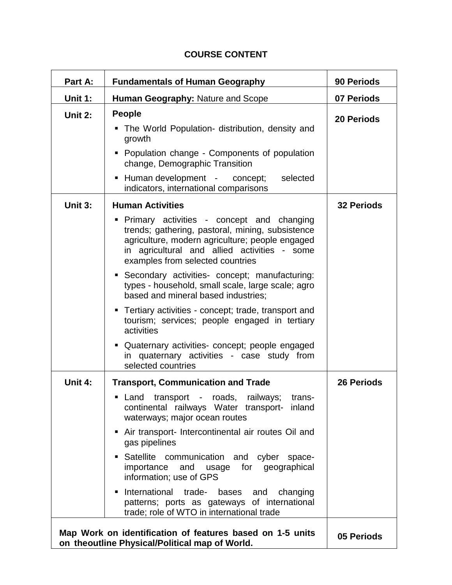| Part A: | <b>Fundamentals of Human Geography</b>                                                                                                                                                                                                                                                                                                                                                                                                                                                                                                                                                                                                                         | 90 Periods        |
|---------|----------------------------------------------------------------------------------------------------------------------------------------------------------------------------------------------------------------------------------------------------------------------------------------------------------------------------------------------------------------------------------------------------------------------------------------------------------------------------------------------------------------------------------------------------------------------------------------------------------------------------------------------------------------|-------------------|
| Unit 1: | Human Geography: Nature and Scope                                                                                                                                                                                                                                                                                                                                                                                                                                                                                                                                                                                                                              | 07 Periods        |
| Unit 2: | <b>People</b><br>The World Population- distribution, density and<br>growth<br>• Population change - Components of population<br>change, Demographic Transition                                                                                                                                                                                                                                                                                                                                                                                                                                                                                                 | <b>20 Periods</b> |
|         | Human development - concept;<br>selected<br>٠<br>indicators, international comparisons                                                                                                                                                                                                                                                                                                                                                                                                                                                                                                                                                                         |                   |
| Unit 3: | <b>Human Activities</b><br>Primary activities - concept and changing<br>trends; gathering, pastoral, mining, subsistence<br>agriculture, modern agriculture; people engaged<br>in agricultural and allied activities - some<br>examples from selected countries<br>• Secondary activities- concept; manufacturing:<br>types - household, small scale, large scale; agro<br>based and mineral based industries;<br>• Tertiary activities - concept; trade, transport and<br>tourism; services; people engaged in tertiary<br>activities<br>• Quaternary activities- concept; people engaged<br>in quaternary activities - case study from<br>selected countries | <b>32 Periods</b> |
| Unit 4: | <b>Transport, Communication and Trade</b><br>Land<br>transport - roads,<br>railways;<br>п<br>trans-<br>continental railways Water transport- inland<br>waterways; major ocean routes<br>Air transport- Intercontinental air routes Oil and<br>gas pipelines<br>Satellite communication and cyber space-<br>importance<br>and<br>for<br>geographical<br>usage<br>information; use of GPS<br>International trade-<br>bases and<br>changing<br>patterns; ports as gateways of international<br>trade; role of WTO in international trade                                                                                                                          | <b>26 Periods</b> |

# **COURSE CONTENT**

**Map Work on identification of features based on 1-5 units on theoutline Physical/Political map of World. 05 Periods**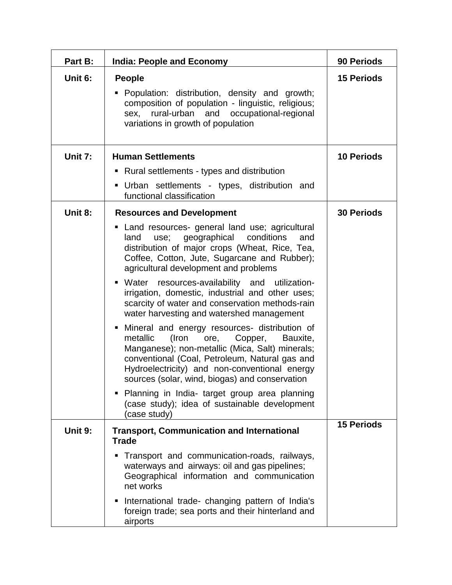| Part B: | <b>India: People and Economy</b>                                                                                                                                                                                                                                                                               | 90 Periods        |
|---------|----------------------------------------------------------------------------------------------------------------------------------------------------------------------------------------------------------------------------------------------------------------------------------------------------------------|-------------------|
| Unit 6: | <b>People</b><br>• Population: distribution, density and growth;<br>composition of population - linguistic, religious;<br>rural-urban and occupational-regional<br>sex,<br>variations in growth of population                                                                                                  | <b>15 Periods</b> |
| Unit 7: | <b>Human Settlements</b>                                                                                                                                                                                                                                                                                       | <b>10 Periods</b> |
|         | • Rural settlements - types and distribution                                                                                                                                                                                                                                                                   |                   |
|         | Urban settlements - types, distribution and<br>functional classification                                                                                                                                                                                                                                       |                   |
| Unit 8: | <b>Resources and Development</b>                                                                                                                                                                                                                                                                               | <b>30 Periods</b> |
|         | Land resources- general land use; agricultural<br>geographical<br>conditions<br>land<br>use;<br>and<br>distribution of major crops (Wheat, Rice, Tea,<br>Coffee, Cotton, Jute, Sugarcane and Rubber);<br>agricultural development and problems                                                                 |                   |
|         | • Water resources-availability and utilization-<br>irrigation, domestic, industrial and other uses;<br>scarcity of water and conservation methods-rain<br>water harvesting and watershed management                                                                                                            |                   |
|         | Mineral and energy resources- distribution of<br>ш<br>metallic<br>(Iron<br>ore,<br>Copper,<br>Bauxite,<br>Manganese); non-metallic (Mica, Salt) minerals;<br>conventional (Coal, Petroleum, Natural gas and<br>Hydroelectricity) and non-conventional energy<br>sources (solar, wind, biogas) and conservation |                   |
|         | • Planning in India- target group area planning<br>(case study); idea of sustainable development<br>(case study)                                                                                                                                                                                               |                   |
| Unit 9: | <b>Transport, Communication and International</b><br><b>Trade</b>                                                                                                                                                                                                                                              | <b>15 Periods</b> |
|         | Transport and communication-roads, railways,<br>waterways and airways: oil and gas pipelines;<br>Geographical information and communication<br>net works                                                                                                                                                       |                   |
|         | International trade- changing pattern of India's<br>foreign trade; sea ports and their hinterland and<br>airports                                                                                                                                                                                              |                   |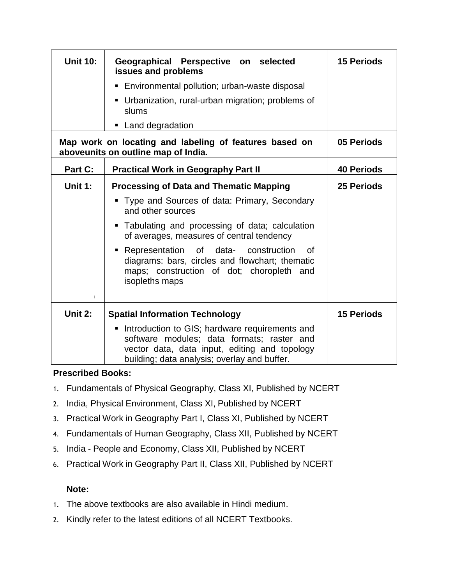| <b>Unit 10:</b> | Geographical Perspective on selected<br>issues and problems                                                                                                                                   | <b>15 Periods</b> |
|-----------------|-----------------------------------------------------------------------------------------------------------------------------------------------------------------------------------------------|-------------------|
|                 | • Environmental pollution; urban-waste disposal                                                                                                                                               |                   |
|                 | Urbanization, rural-urban migration; problems of<br>slums                                                                                                                                     |                   |
|                 | • Land degradation                                                                                                                                                                            |                   |
|                 | Map work on locating and labeling of features based on<br>aboveunits on outline map of India.                                                                                                 | 05 Periods        |
| Part C:         | <b>Practical Work in Geography Part II</b>                                                                                                                                                    | <b>40 Periods</b> |
| Unit 1:         | <b>Processing of Data and Thematic Mapping</b>                                                                                                                                                | <b>25 Periods</b> |
|                 | Type and Sources of data: Primary, Secondary<br>and other sources                                                                                                                             |                   |
|                 | Tabulating and processing of data; calculation<br>of averages, measures of central tendency                                                                                                   |                   |
| $\mathbf{I}$    | of data- construction<br>• Representation<br>0f<br>diagrams: bars, circles and flowchart; thematic<br>maps; construction of dot; choropleth and<br>isopleths maps                             |                   |
| Unit 2:         | <b>Spatial Information Technology</b>                                                                                                                                                         | <b>15 Periods</b> |
|                 | Introduction to GIS; hardware requirements and<br>software modules; data formats; raster and<br>vector data, data input, editing and topology<br>building; data analysis; overlay and buffer. |                   |

### **Prescribed Books:**

- 1. Fundamentals of Physical Geography, Class XI, Published by NCERT
- 2. India, Physical Environment, Class XI, Published by NCERT
- 3. Practical Work in Geography Part I, Class XI, Published by NCERT
- 4. Fundamentals of Human Geography, Class XII, Published by NCERT
- 5. India People and Economy, Class XII, Published by NCERT
- 6. Practical Work in Geography Part II, Class XII, Published by NCERT

### **Note:**

- 1. The above textbooks are also available in Hindi medium.
- 2. Kindly refer to the latest editions of all NCERT Textbooks.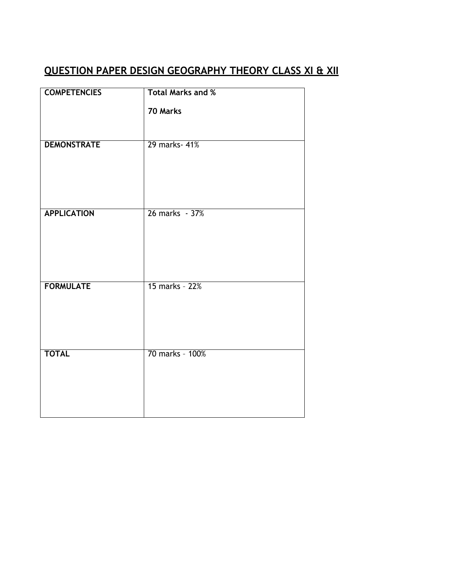# **QUESTION PAPER DESIGN GEOGRAPHY THEORY CLASS XI & XII**

| <b>COMPETENCIES</b> | <b>Total Marks and %</b> |
|---------------------|--------------------------|
|                     | 70 Marks                 |
| <b>DEMONSTRATE</b>  | 29 marks- 41%            |
| <b>APPLICATION</b>  | 26 marks - 37%           |
| <b>FORMULATE</b>    | 15 marks - 22%           |
| <b>TOTAL</b>        | 70 marks - 100%          |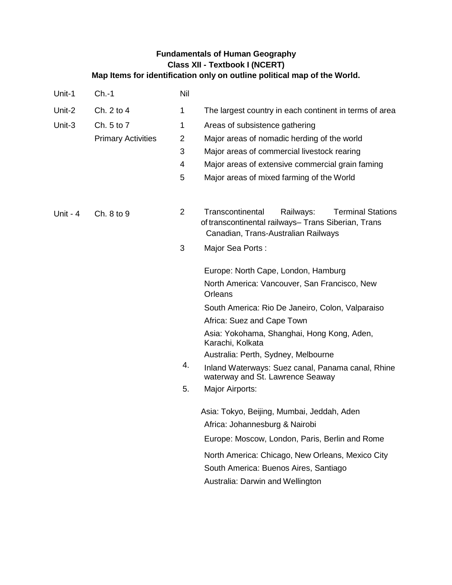### **Fundamentals of Human Geography Class XII - Textbook I (NCERT) Map Items for identification only on outline political map of the World.**

| Unit-1     | $Ch.-1$                   | Nil            |                                                                                                                                                         |
|------------|---------------------------|----------------|---------------------------------------------------------------------------------------------------------------------------------------------------------|
| Unit-2     | Ch. 2 to 4                | 1              | The largest country in each continent in terms of area                                                                                                  |
| Unit-3     | Ch. 5 to 7                | 1              | Areas of subsistence gathering                                                                                                                          |
|            | <b>Primary Activities</b> | $\overline{2}$ | Major areas of nomadic herding of the world                                                                                                             |
|            |                           | 3              | Major areas of commercial livestock rearing                                                                                                             |
|            |                           | 4              | Major areas of extensive commercial grain faming                                                                                                        |
|            |                           | 5              | Major areas of mixed farming of the World                                                                                                               |
| Unit - $4$ | Ch. 8 to 9                | $\overline{2}$ | Transcontinental<br>Railways:<br><b>Terminal Stations</b><br>of transcontinental railways- Trans Siberian, Trans<br>Canadian, Trans-Australian Railways |
|            |                           | 3              | Major Sea Ports:                                                                                                                                        |
|            |                           |                | Europe: North Cape, London, Hamburg                                                                                                                     |
|            |                           |                | North America: Vancouver, San Francisco, New<br>Orleans                                                                                                 |
|            |                           |                | South America: Rio De Janeiro, Colon, Valparaiso                                                                                                        |
|            |                           |                | Africa: Suez and Cape Town                                                                                                                              |
|            |                           |                | Asia: Yokohama, Shanghai, Hong Kong, Aden,<br>Karachi, Kolkata                                                                                          |
|            |                           |                | Australia: Perth, Sydney, Melbourne                                                                                                                     |
|            |                           | 4.             | Inland Waterways: Suez canal, Panama canal, Rhine<br>waterway and St. Lawrence Seaway                                                                   |
|            |                           | 5.             | Major Airports:                                                                                                                                         |
|            |                           |                | Asia: Tokyo, Beijing, Mumbai, Jeddah, Aden                                                                                                              |
|            |                           |                | Africa: Johannesburg & Nairobi                                                                                                                          |
|            |                           |                | Europe: Moscow, London, Paris, Berlin and Rome                                                                                                          |
|            |                           |                | North America: Chicago, New Orleans, Mexico City                                                                                                        |
|            |                           |                | South America: Buenos Aires, Santiago                                                                                                                   |
|            |                           |                | Australia: Darwin and Wellington                                                                                                                        |